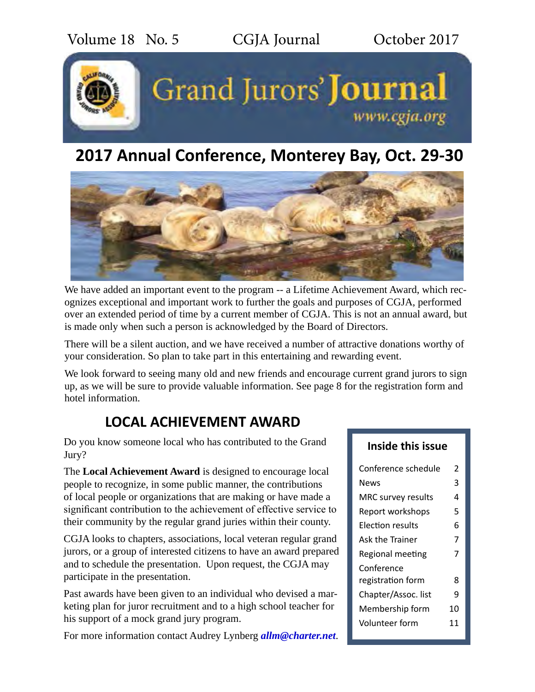

# **2017 Annual Conference, Monterey Bay, Oct. 29-30**



We have added an important event to the program -- a Lifetime Achievement Award, which recognizes exceptional and important work to further the goals and purposes of CGJA, performed over an extended period of time by a current member of CGJA. This is not an annual award, but is made only when such a person is acknowledged by the Board of Directors.

There will be a silent auction, and we have received a number of attractive donations worthy of your consideration. So plan to take part in this entertaining and rewarding event.

We look forward to seeing many old and new friends and encourage current grand jurors to sign up, as we will be sure to provide valuable information. See page 8 for the registration form and hotel information.

# **LOCAL ACHIEVEMENT AWARD**

Do you know someone local who has contributed to the Grand Jury?

The **Local Achievement Award** is designed to encourage local people to recognize, in some public manner, the contributions of local people or organizations that are making or have made a significant contribution to the achievement of effective service to their community by the regular grand juries within their county.

CGJA looks to chapters, associations, local veteran regular grand jurors, or a group of interested citizens to have an award prepared and to schedule the presentation. Upon request, the CGJA may participate in the presentation.

Past awards have been given to an individual who devised a marketing plan for juror recruitment and to a high school teacher for his support of a mock grand jury program.

For more information contact Audrey Lynberg *[allm@charter.net](mailto:allm%40charter.net?subject=)*.

## **Inside this issue**

| Conference schedule<br>2 |    |  |  |  |  |
|--------------------------|----|--|--|--|--|
| News                     | 3  |  |  |  |  |
| MRC survey results       | 4  |  |  |  |  |
| Report workshops         | 5  |  |  |  |  |
| Election results         | 6  |  |  |  |  |
| Ask the Trainer          | 7  |  |  |  |  |
| Regional meeting         |    |  |  |  |  |
| Conference               |    |  |  |  |  |
| registration form        | 8  |  |  |  |  |
| Chapter/Assoc. list      | q  |  |  |  |  |
| Membership form          | 10 |  |  |  |  |
| Volunteer form           | 11 |  |  |  |  |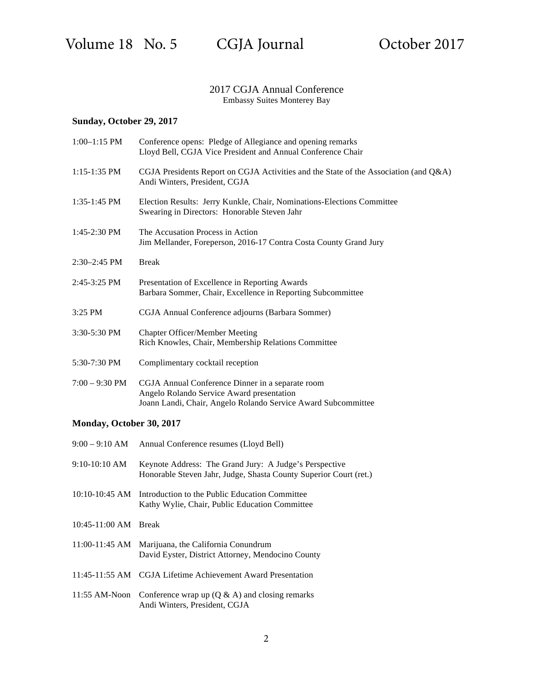### 2017 CGJA Annual Conference Embassy Suites Monterey Bay

## **Sunday, October 29, 2017**

| $1:00-1:15$ PM   | Conference opens: Pledge of Allegiance and opening remarks<br>Lloyd Bell, CGJA Vice President and Annual Conference Chair                                      |  |  |  |  |
|------------------|----------------------------------------------------------------------------------------------------------------------------------------------------------------|--|--|--|--|
| $1:15-1:35$ PM   | CGJA Presidents Report on CGJA Activities and the State of the Association (and $Q&A$ )<br>Andi Winters, President, CGJA                                       |  |  |  |  |
| $1:35-1:45$ PM   | Election Results: Jerry Kunkle, Chair, Nominations-Elections Committee<br>Swearing in Directors: Honorable Steven Jahr                                         |  |  |  |  |
| $1:45-2:30$ PM   | The Accusation Process in Action<br>Jim Mellander, Foreperson, 2016-17 Contra Costa County Grand Jury                                                          |  |  |  |  |
| $2:30-2:45$ PM   | <b>Break</b>                                                                                                                                                   |  |  |  |  |
| $2:45-3:25$ PM   | Presentation of Excellence in Reporting Awards<br>Barbara Sommer, Chair, Excellence in Reporting Subcommittee                                                  |  |  |  |  |
| 3:25 PM          | CGJA Annual Conference adjourns (Barbara Sommer)                                                                                                               |  |  |  |  |
| 3:30-5:30 PM     | <b>Chapter Officer/Member Meeting</b><br>Rich Knowles, Chair, Membership Relations Committee                                                                   |  |  |  |  |
| 5:30-7:30 PM     | Complimentary cocktail reception                                                                                                                               |  |  |  |  |
| $7:00 - 9:30$ PM | CGJA Annual Conference Dinner in a separate room<br>Angelo Rolando Service Award presentation<br>Joann Landi, Chair, Angelo Rolando Service Award Subcommittee |  |  |  |  |

### **Monday, October 30, 2017**

|                      | 9:00 – 9:10 AM Annual Conference resumes (Lloyd Bell)                                                                       |
|----------------------|-----------------------------------------------------------------------------------------------------------------------------|
| $9:10-10:10$ AM      | Keynote Address: The Grand Jury: A Judge's Perspective<br>Honorable Steven Jahr, Judge, Shasta County Superior Court (ret.) |
| $10:10-10:45$ AM     | Introduction to the Public Education Committee<br>Kathy Wylie, Chair, Public Education Committee                            |
| 10:45-11:00 AM Break |                                                                                                                             |
|                      | 11:00-11:45 AM Marijuana, the California Conundrum<br>David Eyster, District Attorney, Mendocino County                     |
|                      | 11:45-11:55 AM CGJA Lifetime Achievement Award Presentation                                                                 |
|                      | 11:55 AM-Noon Conference wrap up $(Q & A)$ and closing remarks<br>Andi Winters, President, CGJA                             |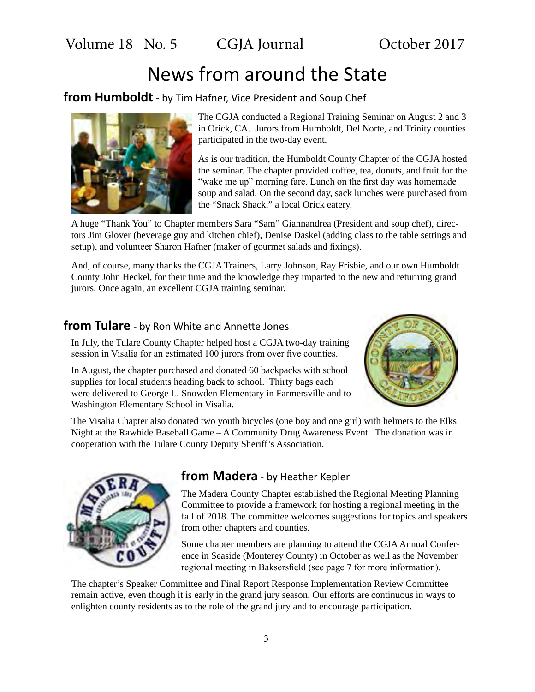Volume 18 No. 5 CGJA Journal October 2017

# News from around the State

**from Humboldt** - by Tim Hafner, Vice President and Soup Chef



The CGJA conducted a Regional Training Seminar on August 2 and 3 in Orick, CA. Jurors from Humboldt, Del Norte, and Trinity counties participated in the two-day event.

As is our tradition, the Humboldt County Chapter of the CGJA hosted the seminar. The chapter provided coffee, tea, donuts, and fruit for the "wake me up" morning fare. Lunch on the first day was homemade soup and salad. On the second day, sack lunches were purchased from the "Snack Shack," a local Orick eatery.

A huge "Thank You" to Chapter members Sara "Sam" Giannandrea (President and soup chef), directors Jim Glover (beverage guy and kitchen chief), Denise Daskel (adding class to the table settings and setup), and volunteer Sharon Hafner (maker of gourmet salads and fixings).

And, of course, many thanks the CGJA Trainers, Larry Johnson, Ray Frisbie, and our own Humboldt County John Heckel, for their time and the knowledge they imparted to the new and returning grand jurors. Once again, an excellent CGJA training seminar.

# **from Tulare** - by Ron White and Annette Jones

In July, the Tulare County Chapter helped host a CGJA two-day training session in Visalia for an estimated 100 jurors from over five counties.

In August, the chapter purchased and donated 60 backpacks with school supplies for local students heading back to school. Thirty bags each were delivered to George L. Snowden Elementary in Farmersville and to Washington Elementary School in Visalia.



The Visalia Chapter also donated two youth bicycles (one boy and one girl) with helmets to the Elks Night at the Rawhide Baseball Game – A Community Drug Awareness Event. The donation was in cooperation with the Tulare County Deputy Sheriff's Association.



# **from Madera** - by Heather Kepler

The Madera County Chapter established the Regional Meeting Planning Committee to provide a framework for hosting a regional meeting in the fall of 2018. The committee welcomes suggestions for topics and speakers from other chapters and counties.

Some chapter members are planning to attend the CGJA Annual Conference in Seaside (Monterey County) in October as well as the November regional meeting in Baksersfield (see page 7 for more information).

The chapter's Speaker Committee and Final Report Response Implementation Review Committee remain active, even though it is early in the grand jury season. Our efforts are continuous in ways to enlighten county residents as to the role of the grand jury and to encourage participation.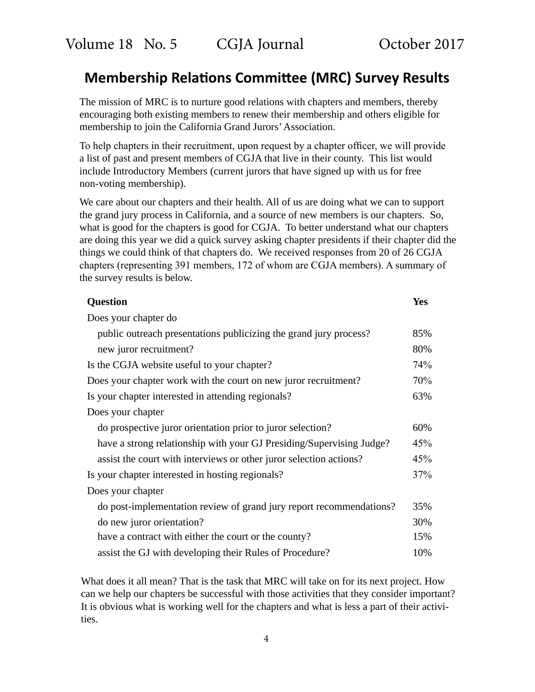# **Membership Relations Committee (MRC) Survey Results**

The mission of MRC is to nurture good relations with chapters and members, thereby encouraging both existing members to renew their membership and others eligible for membership to join the California Grand Jurors' Association.

To help chapters in their recruitment, upon request by a chapter officer, we will provide a list of past and present members of CGJA that live in their county. This list would include Introductory Members (current jurors that have signed up with us for free non-voting membership).

We care about our chapters and their health. All of us are doing what we can to support the grand jury process in California, and a source of new members is our chapters. So, what is good for the chapters is good for CGJA. To better understand what our chapters are doing this year we did a quick survey asking chapter presidents if their chapter did the things we could think of that chapters do. We received responses from 20 of 26 CGJA chapters (representing 391 members, 172 of whom are CGJA members). A summary of the survey results is below.

| <b>Question</b>                                                      | <b>Yes</b> |
|----------------------------------------------------------------------|------------|
| Does your chapter do                                                 |            |
| public outreach presentations publicizing the grand jury process?    | 85%        |
| new juror recruitment?                                               | 80%        |
| Is the CGJA website useful to your chapter?                          | 74%        |
| Does your chapter work with the court on new juror recruitment?      | 70%        |
| Is your chapter interested in attending regionals?                   | 63%        |
| Does your chapter                                                    |            |
| do prospective juror orientation prior to juror selection?           | 60%        |
| have a strong relationship with your GJ Presiding/Supervising Judge? | 45%        |
| assist the court with interviews or other juror selection actions?   | 45%        |
| Is your chapter interested in hosting regionals?                     | 37%        |
| Does your chapter                                                    |            |
| do post-implementation review of grand jury report recommendations?  | 35%        |
| do new juror orientation?                                            | 30%        |
| have a contract with either the court or the county?                 | 15%        |
| assist the GJ with developing their Rules of Procedure?              | 10%        |

What does it all mean? That is the task that MRC will take on for its next project. How can we help our chapters be successful with those activities that they consider important? It is obvious what is working well for the chapters and what is less a part of their activities.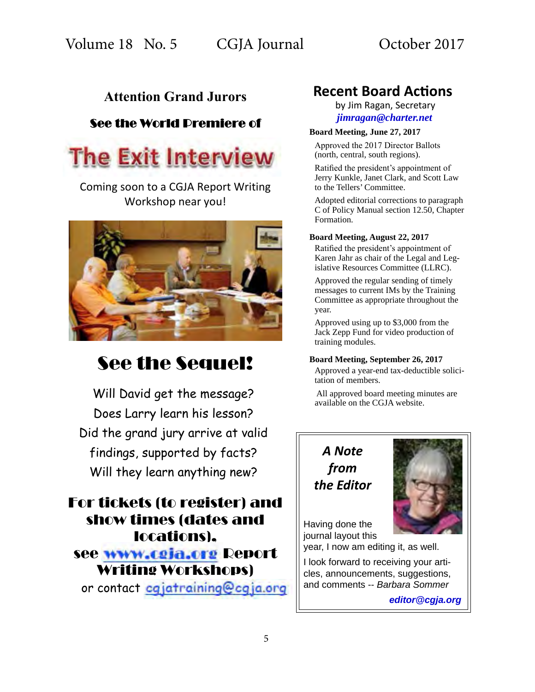# **Attention Grand Jurors**

# See the World Premiere of



Coming soon to a CGJA Report Writing Workshop near you!



# See the Sequel!

Will David get the message? Does Larry learn his lesson? Did the grand jury arrive at valid findings, supported by facts? Will they learn anything new?

For tickets (to register) and show times (dates and locations), see www.cgja.org Report Writing Workshops) or contact cqjatraining@cgja.org

# **Recent Board Actions**

 by Jim Ragan, Secretary *[jimragan@charter.net](mailto:jimragan%40charter.net?subject=)*

### **Board Meeting, June 27, 2017**

Approved the 2017 Director Ballots (north, central, south regions).

Ratified the president's appointment of Jerry Kunkle, Janet Clark, and Scott Law to the Tellers' Committee.

Adopted editorial corrections to paragraph C of Policy Manual section 12.50, Chapter Formation.

### **Board Meeting, August 22, 2017**

Ratified the president's appointment of Karen Jahr as chair of the Legal and Legislative Resources Committee (LLRC).

Approved the regular sending of timely messages to current IMs by the Training Committee as appropriate throughout the year.

Approved using up to \$3,000 from the Jack Zepp Fund for video production of training modules.

### **Board Meeting, September 26, 2017**

Approved a year-end tax-deductible solicitation of members.

All approved board meeting minutes are available on the CGJA website.

# *A Note from the Editor*



Having done the journal layout this

year, I now am editing it, as well.

I look forward to receiving your articles, announcements, suggestions, and comments -- *Barbara Sommer*

*[editor@cgja.org](mailto:basommer%40ucdavis.edu?subject=)*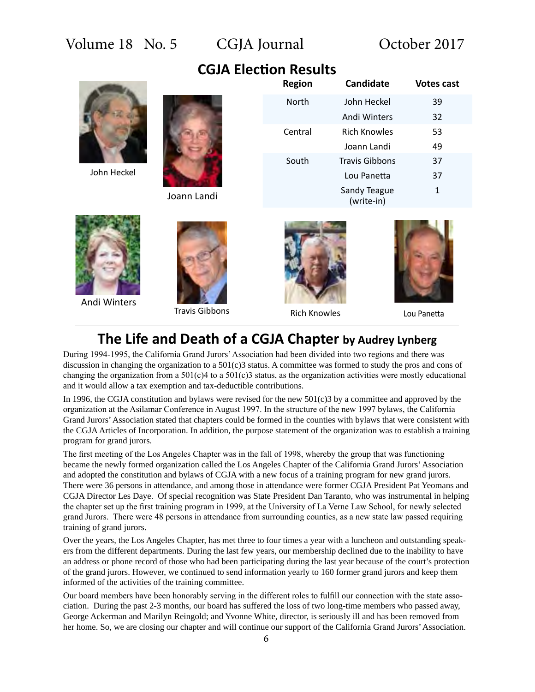**CGJA Election Results**

John Heckel



Joann Landi

| <b>Region</b> | <b>Candidate</b>           | <b>Votes cast</b> |
|---------------|----------------------------|-------------------|
| North         | John Heckel                | 39                |
|               | Andi Winters               | 32                |
| Central       | Rich Knowles               | 53                |
|               | Joann Landi                | 49                |
| South         | <b>Travis Gibbons</b>      | 37                |
|               | Lou Panetta                | 37                |
|               | Sandy Teague<br>(write-in) | 1                 |



Andi Winters



Travis Gibbons **Rich Knowles** Lou Panetta





# **The Life and Death of a CGJA Chapter by Audrey Lynberg**

During 1994-1995, the California Grand Jurors' Association had been divided into two regions and there was discussion in changing the organization to a 501(c)3 status. A committee was formed to study the pros and cons of changing the organization from a  $501(c)4$  to a  $501(c)3$  status, as the organization activities were mostly educational and it would allow a tax exemption and tax-deductible contributions.

In 1996, the CGJA constitution and bylaws were revised for the new  $501(c)3$  by a committee and approved by the organization at the Asilamar Conference in August 1997. In the structure of the new 1997 bylaws, the California Grand Jurors' Association stated that chapters could be formed in the counties with bylaws that were consistent with the CGJA Articles of Incorporation. In addition, the purpose statement of the organization was to establish a training program for grand jurors.

The first meeting of the Los Angeles Chapter was in the fall of 1998, whereby the group that was functioning became the newly formed organization called the Los Angeles Chapter of the California Grand Jurors' Association and adopted the constitution and bylaws of CGJA with a new focus of a training program for new grand jurors. There were 36 persons in attendance, and among those in attendance were former CGJA President Pat Yeomans and CGJA Director Les Daye. Of special recognition was State President Dan Taranto, who was instrumental in helping the chapter set up the first training program in 1999, at the University of La Verne Law School, for newly selected grand Jurors. There were 48 persons in attendance from surrounding counties, as a new state law passed requiring training of grand jurors.

Over the years, the Los Angeles Chapter, has met three to four times a year with a luncheon and outstanding speakers from the different departments. During the last few years, our membership declined due to the inability to have an address or phone record of those who had been participating during the last year because of the court's protection of the grand jurors. However, we continued to send information yearly to 160 former grand jurors and keep them informed of the activities of the training committee.

Our board members have been honorably serving in the different roles to fulfill our connection with the state association. During the past 2-3 months, our board has suffered the loss of two long-time members who passed away, George Ackerman and Marilyn Reingold; and Yvonne White, director, is seriously ill and has been removed from her home. So, we are closing our chapter and will continue our support of the California Grand Jurors' Association.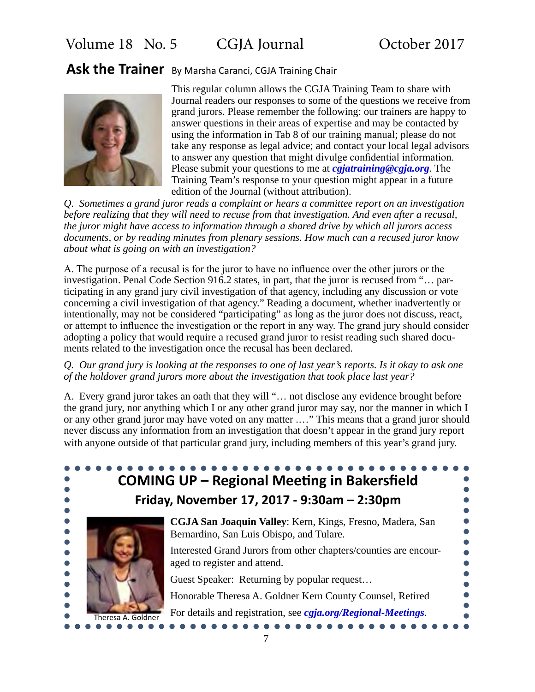# **Ask the Trainer** By Marsha Caranci, CGJA Training Chair



This regular column allows the CGJA Training Team to share with Journal readers our responses to some of the questions we receive from grand jurors. Please remember the following: our trainers are happy to answer questions in their areas of expertise and may be contacted by using the information in Tab 8 of our training manual; please do not take any response as legal advice; and contact your local legal advisors to answer any question that might divulge confidential information. Please submit your questions to me at *[cgjatraining@cgja.org](mailto:cgjatraining%40cgja.org?subject=)*. The Training Team's response to your question might appear in a future edition of the Journal (without attribution).

*Q. Sometimes a grand juror reads a complaint or hears a committee report on an investigation before realizing that they will need to recuse from that investigation. And even after a recusal, the juror might have access to information through a shared drive by which all jurors access documents, or by reading minutes from plenary sessions. How much can a recused juror know about what is going on with an investigation?*

A. The purpose of a recusal is for the juror to have no influence over the other jurors or the investigation. Penal Code Section 916.2 states, in part, that the juror is recused from "… participating in any grand jury civil investigation of that agency, including any discussion or vote concerning a civil investigation of that agency." Reading a document, whether inadvertently or intentionally, may not be considered "participating" as long as the juror does not discuss, react, or attempt to influence the investigation or the report in any way. The grand jury should consider adopting a policy that would require a recused grand juror to resist reading such shared documents related to the investigation once the recusal has been declared.

### *Q. Our grand jury is looking at the responses to one of last year's reports. Is it okay to ask one of the holdover grand jurors more about the investigation that took place last year?*

A. Every grand juror takes an oath that they will "… not disclose any evidence brought before the grand jury, nor anything which I or any other grand juror may say, nor the manner in which I or any other grand juror may have voted on any matter .…" This means that a grand juror should never discuss any information from an investigation that doesn't appear in the grand jury report with anyone outside of that particular grand jury, including members of this year's grand jury.

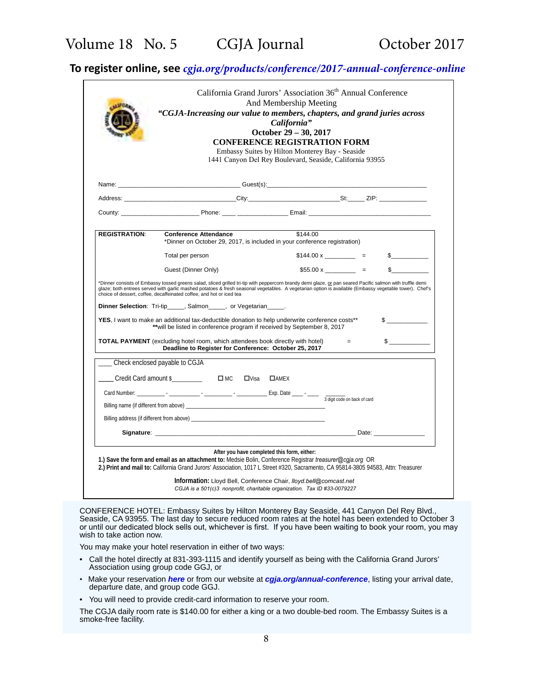# **To register online, see** *[cgja.org/products/conference/2017-annual-conference-online](http://cgja.org/products/conference/2017-annual-conference-online)*

|                      |                                                                                                                                                                                                                                                  | California"<br>October 29 - 30, 2017<br><b>CONFERENCE REGISTRATION FORM</b><br>Embassy Suites by Hilton Monterey Bay - Seaside<br>1441 Canyon Del Rey Boulevard, Seaside, California 93955 |          |                       |               |
|----------------------|--------------------------------------------------------------------------------------------------------------------------------------------------------------------------------------------------------------------------------------------------|--------------------------------------------------------------------------------------------------------------------------------------------------------------------------------------------|----------|-----------------------|---------------|
|                      |                                                                                                                                                                                                                                                  |                                                                                                                                                                                            |          |                       |               |
|                      |                                                                                                                                                                                                                                                  |                                                                                                                                                                                            |          |                       |               |
|                      |                                                                                                                                                                                                                                                  |                                                                                                                                                                                            |          |                       |               |
| <b>REGISTRATION:</b> | <b>Conference Attendance</b><br>*Dinner on October 29, 2017, is included in your conference registration)                                                                                                                                        |                                                                                                                                                                                            | \$144.00 |                       |               |
|                      | Total per person                                                                                                                                                                                                                                 |                                                                                                                                                                                            |          | $$144.00 \times \_$ = | $\frac{1}{2}$ |
|                      | Guest (Dinner Only)                                                                                                                                                                                                                              |                                                                                                                                                                                            |          | $$55.00 x$ =          |               |
|                      |                                                                                                                                                                                                                                                  |                                                                                                                                                                                            |          |                       |               |
|                      | Dinner Selection: Tri-tip______, Salmon_____, or Vegetarian_____.<br>YES, I want to make an additional tax-deductible donation to help underwrite conference costs**<br>** will be listed in conference program if received by September 8, 2017 |                                                                                                                                                                                            |          |                       | $\sim$        |
|                      | <b>TOTAL PAYMENT</b> (excluding hotel room, which attendees book directly with hotel)<br>Deadline to Register for Conference: October 25, 2017                                                                                                   |                                                                                                                                                                                            |          | $=$                   | $\frac{1}{2}$ |
|                      | Check enclosed payable to CGJA                                                                                                                                                                                                                   |                                                                                                                                                                                            |          |                       |               |
|                      | Credit Card amount \$ DMC DVisa DAMEX                                                                                                                                                                                                            |                                                                                                                                                                                            |          |                       |               |
|                      |                                                                                                                                                                                                                                                  |                                                                                                                                                                                            |          |                       |               |
|                      | Billing name (if different from above) example and the state of the state of the state of the state of the state of the state of the state of the state of the state of the state of the state of the state of the state of th                   |                                                                                                                                                                                            |          |                       |               |
|                      | Billing address (if different from above) example and the state of the state of the state of the state of the state of the state of the state of the state of the state of the state of the state of the state of the state of                   |                                                                                                                                                                                            |          |                       |               |
|                      |                                                                                                                                                                                                                                                  |                                                                                                                                                                                            |          |                       |               |

CONFERENCE HOTEL: Embassy Suites by Hilton Monterey Bay Seaside, 441 Canyon Del Rey Blvd., Seaside, CA 93955. The last day to secure reduced room rates at the hotel has been extended to October 3 or until our dedicated block sells out, whichever is first. If you have been waiting to book your room, you may wish to take action now.

You may make your hotel reservation in either of two ways:

- Call the hotel directly at 831-393-1115 and identify yourself as being with the California Grand Jurors' Association using group code GGJ, or
- Make your reservation *[here](http://embassysuites.hilton.com/en/es/groups/personalized/M/MRYESES-GGJ-20171025/index.jhtml;jsessionid=ZMVGHAOBNGGKKCSQA0R222Q)* or from our website at *[cgja.org/annual-conference](http://cgja.org/annual-conference)*, listing your arrival date, departure date, and group code GGJ.
- You will need to provide credit-card information to reserve your room.

The CGJA daily room rate is \$140.00 for either a king or a two double-bed room. The Embassy Suites is a smoke-free facility.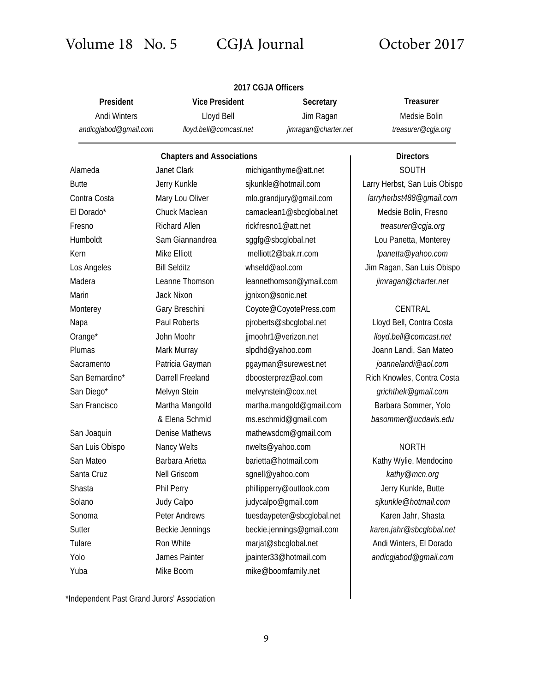# Volume 18 No. 5 CGJA Journal October 2017

|                                              |                                                               | 2017 CGJA Officers      |                                   |                                                        |  |
|----------------------------------------------|---------------------------------------------------------------|-------------------------|-----------------------------------|--------------------------------------------------------|--|
| President                                    | <b>Vice President</b><br>Lloyd Bell<br>lloyd.bell@comcast.net |                         | Secretary                         | <b>Treasurer</b><br>Medsie Bolin<br>treasurer@cgja.org |  |
| <b>Andi Winters</b><br>andicgjabod@gmail.com |                                                               |                         | Jim Ragan<br>jimragan@charter.net |                                                        |  |
|                                              | <b>Chapters and Associations</b>                              |                         |                                   | <b>Directors</b>                                       |  |
| Alameda                                      | <b>Janet Clark</b>                                            |                         | michiganthyme@att.net             | <b>SOUTH</b>                                           |  |
| <b>Butte</b>                                 | Jerry Kunkle                                                  |                         | sjkunkle@hotmail.com              | Larry Herbst, San Luis Obispo                          |  |
| Contra Costa                                 | Mary Lou Oliver                                               | mlo.grandjury@gmail.com |                                   | larryherbst488@gmail.com                               |  |
| El Dorado*                                   | Chuck Maclean                                                 |                         | camaclean1@sbcglobal.net          | Medsie Bolin, Fresno                                   |  |
| Fresno                                       | <b>Richard Allen</b>                                          |                         | rickfresno1@att.net               | treasurer@cgja.org                                     |  |
| Humboldt                                     | Sam Giannandrea                                               |                         | sggfg@sbcglobal.net               | Lou Panetta, Monterey                                  |  |
| Kern                                         | Mike Elliott                                                  |                         | melliott2@bak.rr.com              | lpanetta@yahoo.com                                     |  |
| Los Angeles                                  | <b>Bill Selditz</b>                                           |                         | whseld@aol.com                    | Jim Ragan, San Luis Obispo                             |  |
| Madera                                       | Leanne Thomson                                                |                         | leannethomson@ymail.com           | jimragan@charter.net                                   |  |
| Marin                                        | Jack Nixon                                                    |                         | jgnixon@sonic.net                 |                                                        |  |
| Monterey                                     | Gary Breschini                                                |                         | Coyote@CoyotePress.com            | CENTRAL                                                |  |
| Napa                                         | <b>Paul Roberts</b>                                           |                         | pjroberts@sbcglobal.net           | Lloyd Bell, Contra Costa                               |  |
| Orange*                                      | John Moohr                                                    |                         | jjmoohr1@verizon.net              | lloyd.bell@comcast.net                                 |  |
| Plumas                                       | Mark Murray                                                   |                         | slpdhd@yahoo.com                  | Joann Landi, San Mateo                                 |  |
| Sacramento                                   | Patricia Gayman                                               |                         | pgayman@surewest.net              | joannelandi@aol.com                                    |  |
| San Bernardino*                              | Darrell Freeland                                              |                         | dboosterprez@aol.com              | Rich Knowles, Contra Costa                             |  |
| San Diego*                                   | Melvyn Stein                                                  |                         | melvynstein@cox.net               | grichthek@gmail.com                                    |  |
| San Francisco                                | Martha Mangolld                                               |                         | martha.mangold@gmail.com          | Barbara Sommer, Yolo                                   |  |
|                                              | & Elena Schmid                                                |                         | ms.eschmid@gmail.com              | basommer@ucdavis.edu                                   |  |
| San Joaquin                                  | <b>Denise Mathews</b>                                         |                         | mathewsdcm@gmail.com              |                                                        |  |
| San Luis Obispo                              | Nancy Welts                                                   |                         | nwelts@yahoo.com                  | <b>NORTH</b>                                           |  |
| San Mateo                                    | Barbara Arietta                                               |                         | barietta@hotmail.com              | Kathy Wylie, Mendocino                                 |  |
| Santa Cruz                                   | Nell Griscom                                                  |                         | sgnell@yahoo.com                  | kathy@mcn.org                                          |  |
| Shasta                                       | Phil Perry                                                    |                         | phillipperry@outlook.com          | Jerry Kunkle, Butte                                    |  |
| Solano                                       | Judy Calpo                                                    |                         | judycalpo@gmail.com               | sjkunkle@hotmail.com                                   |  |
| Sonoma                                       | Peter Andrews                                                 |                         | tuesdaypeter@sbcglobal.net        | Karen Jahr, Shasta                                     |  |
| Sutter                                       | Beckie Jennings                                               |                         | beckie.jennings@gmail.com         | karen.jahr@sbcglobal.net                               |  |
| Tulare                                       | Ron White                                                     |                         | marjat@sbcglobal.net              | Andi Winters, El Dorado                                |  |
| Yolo                                         | James Painter                                                 |                         | jpainter33@hotmail.com            | andicgjabod@gmail.com                                  |  |
| Yuba                                         | Mike Boom                                                     |                         | mike@boomfamily.net               |                                                        |  |

\*Independent Past Grand Jurors' Association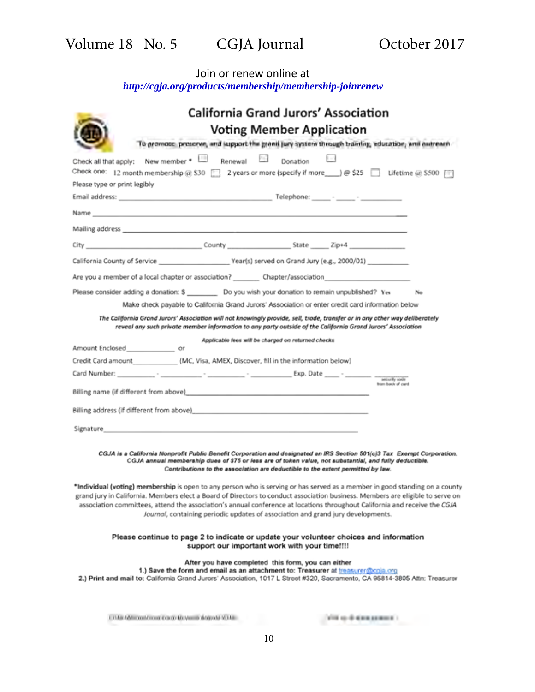# Join or renew online at *<http://cgja.org/products/membership/membership-joinrenew>*

| <b>California Grand Jurors' Association</b><br><b>Voting Member Application</b>                                                                                                                                                                                                                                      |
|----------------------------------------------------------------------------------------------------------------------------------------------------------------------------------------------------------------------------------------------------------------------------------------------------------------------|
| To promote, preserve, and support the grant jury system through training, education, and outreach                                                                                                                                                                                                                    |
| New member .<br>Renewal [13]<br>Donation<br>Check all that apply:<br>Check one: 12 month membership $@$ \$30  2 years or more (specify if more $) @$ \$25 $\Box$ Lifetime $@$ \$500 $\Box$                                                                                                                           |
| Please type or print legibly                                                                                                                                                                                                                                                                                         |
|                                                                                                                                                                                                                                                                                                                      |
| Name and the contract of the contract of the contract of the contract of the contract of                                                                                                                                                                                                                             |
| Mailing address and the contract of the contract of the contract of the contract of the contract of the contract of the contract of the contract of the contract of the contract of the contract of the contract of the contra                                                                                       |
| City City County County State Zip+4                                                                                                                                                                                                                                                                                  |
|                                                                                                                                                                                                                                                                                                                      |
| Are you a member of a local chapter or association? __________ Chapter/association                                                                                                                                                                                                                                   |
| Please consider adding a donation: \$ _________ Do you wish your donation to remain unpublished? Yes<br>No                                                                                                                                                                                                           |
| Make check payable to California Grand Jurors' Association or enter credit card information below                                                                                                                                                                                                                    |
| The California Grand Jurors' Association will not knowingly provide, sell, trade, transfer or in any other way deliberately<br>reveal any such private member information to any party outside of the California Grand Jurors' Association                                                                           |
| Applicable fees will be charged on returned checks<br>Amount Enclosed_________________ or                                                                                                                                                                                                                            |
| Credit Card amount (MC, Visa, AMEX, Discover, fill in the information below)                                                                                                                                                                                                                                         |
|                                                                                                                                                                                                                                                                                                                      |
| from back of card<br>Billing name (if different from above) and the contract of the contract of the contract of the contract of the                                                                                                                                                                                  |
|                                                                                                                                                                                                                                                                                                                      |
| Billing address (if different from above) example and the state of the state of the state of the state of the state of the state of the state of the state of the state of the state of the state of the state of the state of                                                                                       |
| Signature and the companion of the companion of the companion of the companion of the companion of the companion of the companion of the companion of the companion of the companion of the companion of the companion of the                                                                                        |
| CGJA is a California Nonprofit Public Benefit Corporation and designated an IRS Section 501(c)3 Tax Exempt Corporation.<br>CGJA annual membership dues of \$75 or less are of token value, not substantial, and fully deductible.<br>Contributions to the association are deductible to the extent permitted by law. |
| *Individual (voting) membership is open to any person who is serving or has served as a member in good standing on a county                                                                                                                                                                                          |
| grand jury in California. Members elect a Board of Directors to conduct association business. Members are eligible to serve on<br>association committees, attend the association's annual conference at locations throughout California and receive the CGJA                                                         |
| Journal, containing periodic updates of association and grand jury developments.                                                                                                                                                                                                                                     |
| Please continue to page 2 to indicate or update your volunteer choices and information<br>support our important work with your time!!!!                                                                                                                                                                              |
| After you have completed this form, you can either                                                                                                                                                                                                                                                                   |
| 1.) Save the form and email as an attachment to: Treasurer at treasurer@cola.org<br>2.) Print and mail to: California Grand Jurors' Association, 1017 L Street #320, Sacramento, CA 95814-3805 Attn: Treasurer                                                                                                       |
| LETAX Additional/cross Carab Mayorita Idagoar VDAR<br>you to 6 days seams :                                                                                                                                                                                                                                          |

10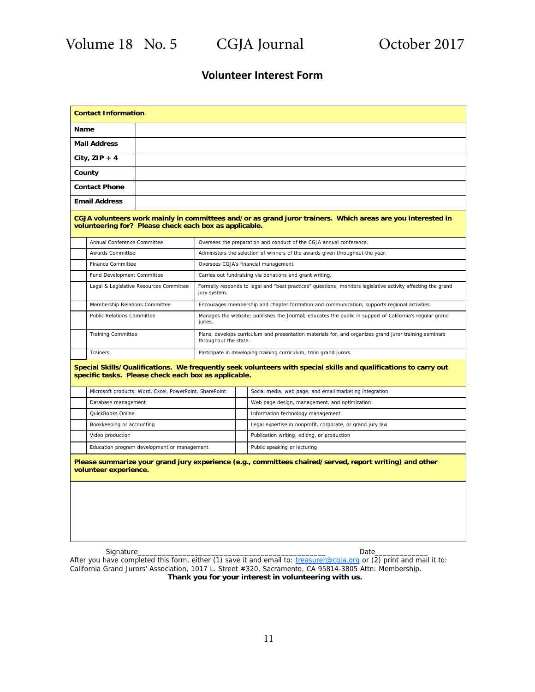## **Volunteer Interest Form**

|                                                                                                                                                                          | <b>Contact Information</b>                              |                                                         |  |                                                                                                        |                                                                                                              |  |  |  |
|--------------------------------------------------------------------------------------------------------------------------------------------------------------------------|---------------------------------------------------------|---------------------------------------------------------|--|--------------------------------------------------------------------------------------------------------|--------------------------------------------------------------------------------------------------------------|--|--|--|
| Name                                                                                                                                                                     |                                                         |                                                         |  |                                                                                                        |                                                                                                              |  |  |  |
| <b>Mail Address</b>                                                                                                                                                      |                                                         |                                                         |  |                                                                                                        |                                                                                                              |  |  |  |
| City, $ZIP + 4$                                                                                                                                                          |                                                         |                                                         |  |                                                                                                        |                                                                                                              |  |  |  |
| County                                                                                                                                                                   |                                                         |                                                         |  |                                                                                                        |                                                                                                              |  |  |  |
|                                                                                                                                                                          | <b>Contact Phone</b>                                    |                                                         |  |                                                                                                        |                                                                                                              |  |  |  |
|                                                                                                                                                                          | <b>Email Address</b>                                    |                                                         |  |                                                                                                        |                                                                                                              |  |  |  |
| CGJA volunteers work mainly in committees and/or as grand juror trainers. Which areas are you interested in<br>volunteering for? Please check each box as applicable.    |                                                         |                                                         |  |                                                                                                        |                                                                                                              |  |  |  |
|                                                                                                                                                                          | Annual Conference Committee                             |                                                         |  |                                                                                                        | Oversees the preparation and conduct of the CGJA annual conference.                                          |  |  |  |
|                                                                                                                                                                          | Awards Committee                                        |                                                         |  |                                                                                                        | Administers the selection of winners of the awards given throughout the year.                                |  |  |  |
|                                                                                                                                                                          | <b>Finance Committee</b>                                |                                                         |  |                                                                                                        | Oversees CGJA's financial management.                                                                        |  |  |  |
|                                                                                                                                                                          | Fund Development Committee                              |                                                         |  |                                                                                                        | Carries out fundraising via donations and grant writing.                                                     |  |  |  |
|                                                                                                                                                                          |                                                         | Legal & Legislative Resources Committee<br>jury system. |  |                                                                                                        | Formally responds to legal and "best practices" questions; monitors legislative activity affecting the grand |  |  |  |
|                                                                                                                                                                          | Membership Relations Committee                          |                                                         |  |                                                                                                        | Encourages membership and chapter formation and communication; supports regional activities.                 |  |  |  |
|                                                                                                                                                                          | <b>Public Relations Committee</b>                       | juries.                                                 |  |                                                                                                        | Manages the website; publishes the Journal; educates the public in support of California's regular grand     |  |  |  |
|                                                                                                                                                                          |                                                         | <b>Training Committee</b><br>throughout the state.      |  | Plans, develops curriculum and presentation materials for, and organizes grand juror training seminars |                                                                                                              |  |  |  |
|                                                                                                                                                                          | Trainers                                                |                                                         |  | Participate in developing training curriculum; train grand jurors.                                     |                                                                                                              |  |  |  |
| Special Skills/Qualifications. We frequently seek volunteers with special skills and qualifications to carry out<br>specific tasks. Please check each box as applicable. |                                                         |                                                         |  |                                                                                                        |                                                                                                              |  |  |  |
|                                                                                                                                                                          | Microsoft products: Word, Excel, PowerPoint, SharePoint |                                                         |  |                                                                                                        | Social media, web page, and email marketing integration                                                      |  |  |  |
|                                                                                                                                                                          | Database management                                     |                                                         |  |                                                                                                        | Web page design, management, and optimization                                                                |  |  |  |
|                                                                                                                                                                          | QuickBooks Online                                       |                                                         |  |                                                                                                        | Information technology management                                                                            |  |  |  |
|                                                                                                                                                                          | Bookkeeping or accounting                               |                                                         |  |                                                                                                        | Legal expertise in nonprofit, corporate, or grand jury law                                                   |  |  |  |
|                                                                                                                                                                          | Video production                                        |                                                         |  |                                                                                                        | Publication writing, editing, or production                                                                  |  |  |  |
|                                                                                                                                                                          | Education program development or management             |                                                         |  |                                                                                                        | Public speaking or lecturing                                                                                 |  |  |  |
| Please summarize your grand jury experience (e.g., committees chaired/served, report writing) and other<br>volunteer experience.                                         |                                                         |                                                         |  |                                                                                                        |                                                                                                              |  |  |  |
|                                                                                                                                                                          |                                                         |                                                         |  |                                                                                                        |                                                                                                              |  |  |  |
|                                                                                                                                                                          | Signature                                               |                                                         |  |                                                                                                        | Date                                                                                                         |  |  |  |

Thank you for your interest in volunteering with us. After you have completed this form, either (1) save it and email to: treasurer@cgja.org or (2) print and mail it to: California Grand Jurors' Association, 1017 L. Street #320, Sacramento, CA 95814-3805 Attn: Membership.